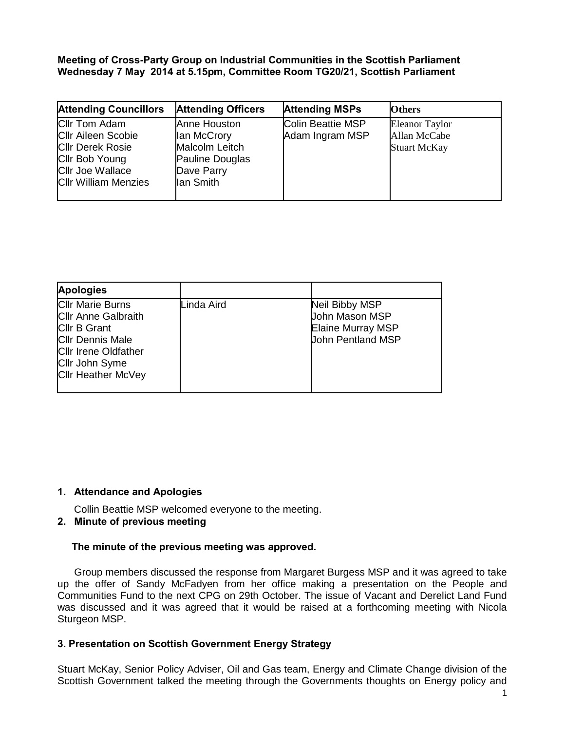**Meeting of Cross-Party Group on lndustrial Communities in the Scottish Parliament Wednesday 7 May 2014 at 5.15pm, Committee Room TG20/21, Scottish Parliament**

| <b>Attending Officers</b>                                                                   | <b>Attending MSPs</b> | <b>Others</b>                                                |
|---------------------------------------------------------------------------------------------|-----------------------|--------------------------------------------------------------|
| Anne Houston<br>lan McCrory<br>Malcolm Leitch<br>Pauline Douglas<br>Dave Parry<br>lan Smith |                       | <b>Eleanor Taylor</b><br>Allan McCabe<br><b>Stuart McKay</b> |
|                                                                                             |                       | <b>Colin Beattie MSP</b><br>Adam Ingram MSP                  |

| <b>Apologies</b>                                                                                                                                                                      |            |                                                                                                 |
|---------------------------------------------------------------------------------------------------------------------------------------------------------------------------------------|------------|-------------------------------------------------------------------------------------------------|
| <b>CIIr Marie Burns</b><br><b>Cllr Anne Galbraith</b><br><b>Cllr B Grant</b><br><b>CIIr Dennis Male</b><br><b>Cllr Irene Oldfather</b><br>Cllr John Syme<br><b>Cllr Heather McVey</b> | Linda Aird | Neil Bibby MSP<br><b>John Mason MSP</b><br><b>Elaine Murray MSP</b><br><b>John Pentland MSP</b> |

## **1. Attendance and Apologies**

Collin Beattie MSP welcomed everyone to the meeting.

## **2. Minute of previous meeting**

#### **The minute of the previous meeting was approved.**

Group members discussed the response from Margaret Burgess MSP and it was agreed to take up the offer of Sandy McFadyen from her office making a presentation on the People and Communities Fund to the next CPG on 29th October. The issue of Vacant and Derelict Land Fund was discussed and it was agreed that it would be raised at a forthcoming meeting with Nicola Sturgeon MSP.

#### **3. Presentation on Scottish Government Energy Strategy**

Stuart McKay, Senior Policy Adviser, Oil and Gas team, Energy and Climate Change division of the Scottish Government talked the meeting through the Governments thoughts on Energy policy and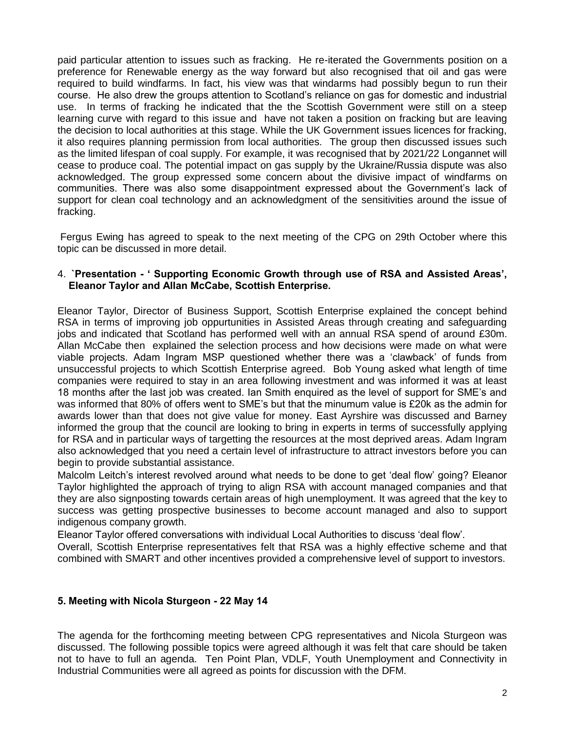paid particular attention to issues such as fracking. He re-iterated the Governments position on a preference for Renewable energy as the way forward but also recognised that oil and gas were required to build windfarms. In fact, his view was that windarms had possibly begun to run their course. He also drew the groups attention to Scotland's reliance on gas for domestic and industrial use. In terms of fracking he indicated that the the Scottish Government were still on a steep learning curve with regard to this issue and have not taken a position on fracking but are leaving the decision to local authorities at this stage. While the UK Government issues licences for fracking, it also requires planning permission from local authorities. The group then discussed issues such as the limited lifespan of coal supply. For example, it was recognised that by 2021/22 Longannet will cease to produce coal. The potential impact on gas supply by the Ukraine/Russia dispute was also acknowledged. The group expressed some concern about the divisive impact of windfarms on communities. There was also some disappointment expressed about the Government's lack of support for clean coal technology and an acknowledgment of the sensitivities around the issue of fracking.

Fergus Ewing has agreed to speak to the next meeting of the CPG on 29th October where this topic can be discussed in more detail.

### 4. **`Presentation - ' Supporting Economic Growth through use of RSA and Assisted Areas', Eleanor Taylor and Allan McCabe, Scottish Enterprise.**

Eleanor Taylor, Director of Business Support, Scottish Enterprise explained the concept behind RSA in terms of improving job oppurtunities in Assisted Areas through creating and safeguarding jobs and indicated that Scotland has performed well with an annual RSA spend of around £30m. Allan McCabe then explained the selection process and how decisions were made on what were viable projects. Adam Ingram MSP questioned whether there was a 'clawback' of funds from unsuccessful projects to which Scottish Enterprise agreed. Bob Young asked what length of time companies were required to stay in an area following investment and was informed it was at least 18 months after the last job was created. Ian Smith enquired as the level of support for SME's and was informed that 80% of offers went to SME's but that the minumum value is £20k as the admin for awards lower than that does not give value for money. East Ayrshire was discussed and Barney informed the group that the council are looking to bring in experts in terms of successfully applying for RSA and in particular ways of targetting the resources at the most deprived areas. Adam Ingram also acknowledged that you need a certain level of infrastructure to attract investors before you can begin to provide substantial assistance.

Malcolm Leitch's interest revolved around what needs to be done to get 'deal flow' going? Eleanor Taylor highlighted the approach of trying to align RSA with account managed companies and that they are also signposting towards certain areas of high unemployment. It was agreed that the key to success was getting prospective businesses to become account managed and also to support indigenous company growth.

Eleanor Taylor offered conversations with individual Local Authorities to discuss 'deal flow'.

Overall, Scottish Enterprise representatives felt that RSA was a highly effective scheme and that combined with SMART and other incentives provided a comprehensive level of support to investors.

## **5. Meeting with Nicola Sturgeon - 22 May 14**

The agenda for the forthcoming meeting between CPG representatives and Nicola Sturgeon was discussed. The following possible topics were agreed although it was felt that care should be taken not to have to full an agenda. Ten Point Plan, VDLF, Youth Unemployment and Connectivity in Industrial Communities were all agreed as points for discussion with the DFM.